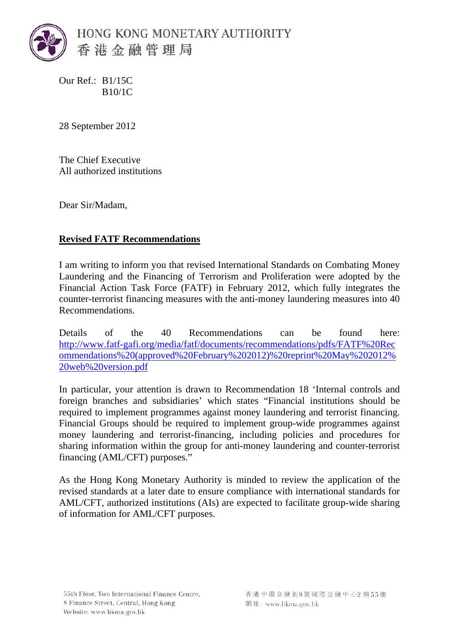

Our Ref.: B1/15C B10/1C

28 September 2012

The Chief Executive All authorized institutions

Dear Sir/Madam,

## **Revised FATF Recommendations**

I am writing to inform you that revised International Standards on Combating Money Laundering and the Financing of Terrorism and Proliferation were adopted by the Financial Action Task Force (FATF) in February 2012, which fully integrates the counter-terrorist financing measures with the anti-money laundering measures into 40 Recommendations.

Details of the 40 Recommendations can be found here: [http://www.fatf-gafi.org/media/fatf/documents/recommendations/pdfs/FATF%20Rec](http://www.fatf-gafi.org/media/fatf/documents/recommendations/pdfs/FATF%20Recommendations%20(approved%20February%202012)%20reprint%20May%202012%20web%20version.pdf) [ommendations%20\(approved%20February%202012\)%20reprint%20May%202012%](http://www.fatf-gafi.org/media/fatf/documents/recommendations/pdfs/FATF%20Recommendations%20(approved%20February%202012)%20reprint%20May%202012%20web%20version.pdf) [20web%20version.pdf](http://www.fatf-gafi.org/media/fatf/documents/recommendations/pdfs/FATF%20Recommendations%20(approved%20February%202012)%20reprint%20May%202012%20web%20version.pdf)

In particular, your attention is drawn to Recommendation 18 'Internal controls and foreign branches and subsidiaries' which states "Financial institutions should be required to implement programmes against money laundering and terrorist financing. Financial Groups should be required to implement group-wide programmes against money laundering and terrorist-financing, including policies and procedures for sharing information within the group for anti-money laundering and counter-terrorist financing (AML/CFT) purposes."

As the Hong Kong Monetary Authority is minded to review the application of the revised standards at a later date to ensure compliance with international standards for AML/CFT, authorized institutions (AIs) are expected to facilitate group-wide sharing of information for AML/CFT purposes.